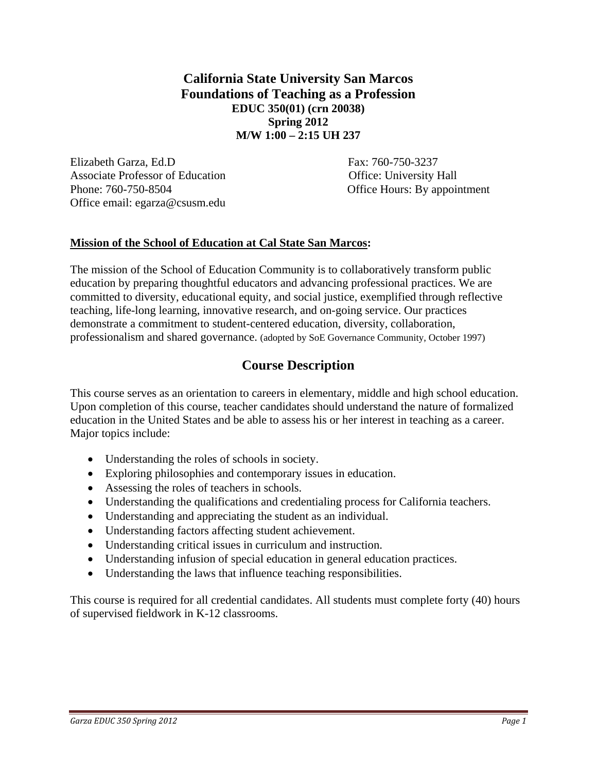**California State University San Marcos Foundations of Teaching as a Profession EDUC 350(01) (crn 20038) Spring 2012 M/W 1:00 – 2:15 UH 237** 

Elizabeth Garza, Ed.D Fax: 760-750-3237 Associate Professor of Education **Contact Contact Contact Contact Contact Contact Contact Contact Contact Contact Contact Contact Contact Contact Contact Contact Contact Contact Contact Contact Contact Contact Contact Cont** Phone: 760-750-8504 Office Hours: By appointment Office email: egarza@csusm.edu

### **Mission of the School of Education at Cal State San Marcos:**

The mission of the School of Education Community is to collaboratively transform public education by preparing thoughtful educators and advancing professional practices. We are committed to diversity, educational equity, and social justice, exemplified through reflective teaching, life-long learning, innovative research, and on-going service. Our practices demonstrate a commitment to student-centered education, diversity, collaboration, professionalism and shared governance. (adopted by SoE Governance Community, October 1997)

# **Course Description**

This course serves as an orientation to careers in elementary, middle and high school education. Upon completion of this course, teacher candidates should understand the nature of formalized education in the United States and be able to assess his or her interest in teaching as a career. Major topics include:

- Understanding the roles of schools in society.
- Exploring philosophies and contemporary issues in education.
- Assessing the roles of teachers in schools.
- Understanding the qualifications and credentialing process for California teachers.
- Understanding and appreciating the student as an individual.
- Understanding factors affecting student achievement.
- Understanding critical issues in curriculum and instruction.
- Understanding infusion of special education in general education practices.
- Understanding the laws that influence teaching responsibilities.

This course is required for all credential candidates. All students must complete forty (40) hours of supervised fieldwork in K-12 classrooms.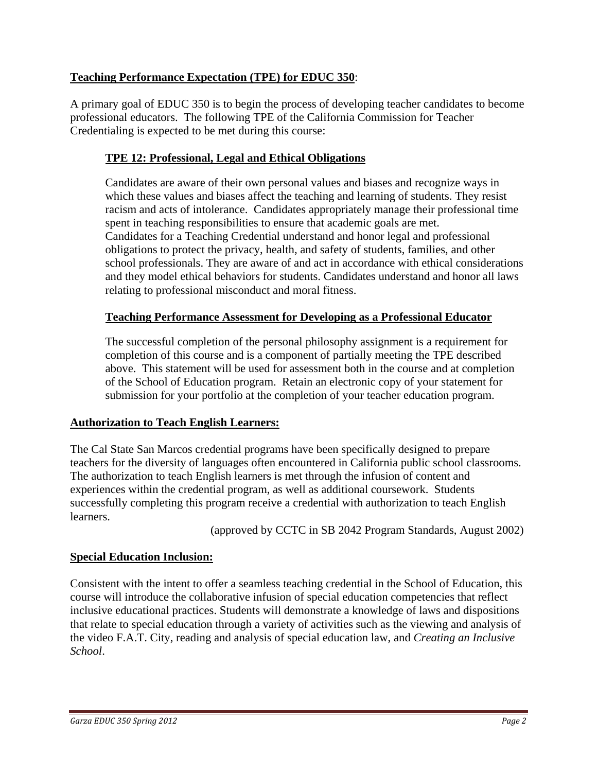## **Teaching Performance Expectation (TPE) for EDUC 350**:

A primary goal of EDUC 350 is to begin the process of developing teacher candidates to become professional educators. The following TPE of the California Commission for Teacher Credentialing is expected to be met during this course:

## **TPE 12: Professional, Legal and Ethical Obligations**

Candidates are aware of their own personal values and biases and recognize ways in which these values and biases affect the teaching and learning of students. They resist racism and acts of intolerance. Candidates appropriately manage their professional time spent in teaching responsibilities to ensure that academic goals are met. Candidates for a Teaching Credential understand and honor legal and professional obligations to protect the privacy, health, and safety of students, families, and other school professionals. They are aware of and act in accordance with ethical considerations and they model ethical behaviors for students. Candidates understand and honor all laws relating to professional misconduct and moral fitness.

### **Teaching Performance Assessment for Developing as a Professional Educator**

The successful completion of the personal philosophy assignment is a requirement for completion of this course and is a component of partially meeting the TPE described above. This statement will be used for assessment both in the course and at completion of the School of Education program. Retain an electronic copy of your statement for submission for your portfolio at the completion of your teacher education program.

### **Authorization to Teach English Learners:**

The Cal State San Marcos credential programs have been specifically designed to prepare teachers for the diversity of languages often encountered in California public school classrooms. The authorization to teach English learners is met through the infusion of content and experiences within the credential program, as well as additional coursework. Students successfully completing this program receive a credential with authorization to teach English learners.

(approved by CCTC in SB 2042 Program Standards, August 2002)

### **Special Education Inclusion:**

Consistent with the intent to offer a seamless teaching credential in the School of Education, this course will introduce the collaborative infusion of special education competencies that reflect inclusive educational practices. Students will demonstrate a knowledge of laws and dispositions that relate to special education through a variety of activities such as the viewing and analysis of the video F.A.T. City, reading and analysis of special education law, and *Creating an Inclusive School*.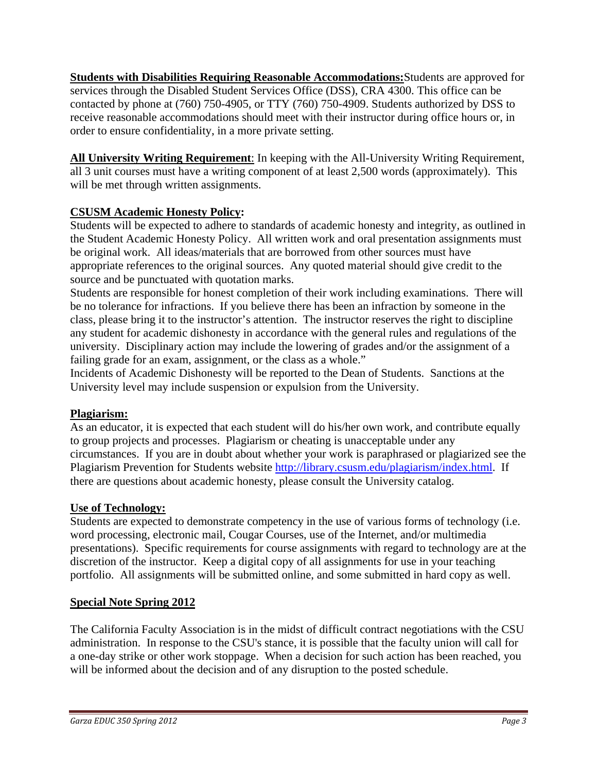**Students with Disabilities Requiring Reasonable Accommodations:**Students are approved for services through the Disabled Student Services Office (DSS), CRA 4300. This office can be contacted by phone at (760) 750-4905, or TTY (760) 750-4909. Students authorized by DSS to receive reasonable accommodations should meet with their instructor during office hours or, in order to ensure confidentiality, in a more private setting.

**All University Writing Requirement**: In keeping with the All-University Writing Requirement, all 3 unit courses must have a writing component of at least 2,500 words (approximately). This will be met through written assignments.

# **CSUSM Academic Honesty Policy:**

Students will be expected to adhere to standards of academic honesty and integrity, as outlined in the Student Academic Honesty Policy. All written work and oral presentation assignments must be original work. All ideas/materials that are borrowed from other sources must have appropriate references to the original sources. Any quoted material should give credit to the source and be punctuated with quotation marks.

Students are responsible for honest completion of their work including examinations. There will be no tolerance for infractions. If you believe there has been an infraction by someone in the class, please bring it to the instructor's attention. The instructor reserves the right to discipline any student for academic dishonesty in accordance with the general rules and regulations of the university. Disciplinary action may include the lowering of grades and/or the assignment of a failing grade for an exam, assignment, or the class as a whole."

Incidents of Academic Dishonesty will be reported to the Dean of Students. Sanctions at the University level may include suspension or expulsion from the University.

## **Plagiarism:**

As an educator, it is expected that each student will do his/her own work, and contribute equally to group projects and processes. Plagiarism or cheating is unacceptable under any circumstances. If you are in doubt about whether your work is paraphrased or plagiarized see the Plagiarism Prevention for Students website http://library.csusm.edu/plagiarism/index.html. If there are questions about academic honesty, please consult the University catalog.

## **Use of Technology:**

Students are expected to demonstrate competency in the use of various forms of technology (i.e. word processing, electronic mail, Cougar Courses, use of the Internet, and/or multimedia presentations). Specific requirements for course assignments with regard to technology are at the discretion of the instructor. Keep a digital copy of all assignments for use in your teaching portfolio. All assignments will be submitted online, and some submitted in hard copy as well.

## **Special Note Spring 2012**

The California Faculty Association is in the midst of difficult contract negotiations with the CSU administration. In response to the CSU's stance, it is possible that the faculty union will call for a one-day strike or other work stoppage. When a decision for such action has been reached, you will be informed about the decision and of any disruption to the posted schedule.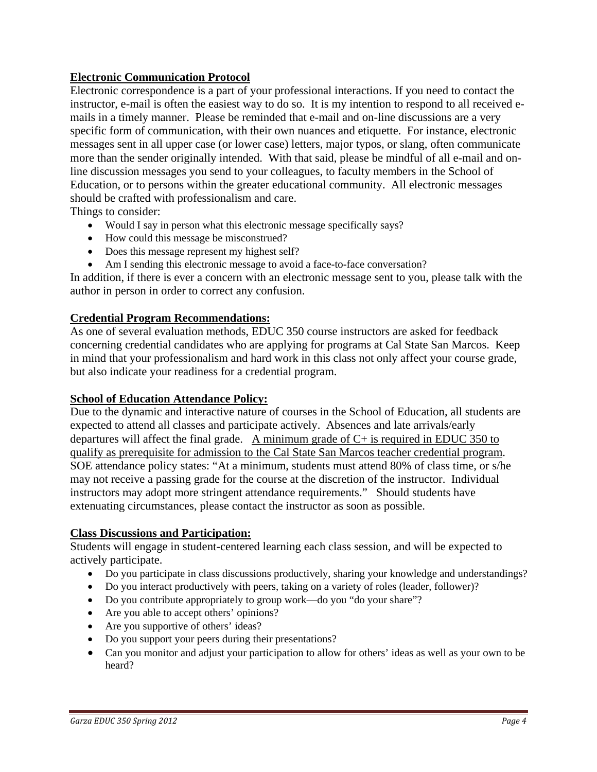## **Electronic Communication Protocol**

Electronic correspondence is a part of your professional interactions. If you need to contact the instructor, e-mail is often the easiest way to do so. It is my intention to respond to all received emails in a timely manner. Please be reminded that e-mail and on-line discussions are a very specific form of communication, with their own nuances and etiquette. For instance, electronic messages sent in all upper case (or lower case) letters, major typos, or slang, often communicate more than the sender originally intended. With that said, please be mindful of all e-mail and online discussion messages you send to your colleagues, to faculty members in the School of Education, or to persons within the greater educational community. All electronic messages should be crafted with professionalism and care.

Things to consider:

- Would I say in person what this electronic message specifically says?
- How could this message be misconstrued?
- Does this message represent my highest self?
- Am I sending this electronic message to avoid a face-to-face conversation?

In addition, if there is ever a concern with an electronic message sent to you, please talk with the author in person in order to correct any confusion.

#### **Credential Program Recommendations:**

As one of several evaluation methods, EDUC 350 course instructors are asked for feedback concerning credential candidates who are applying for programs at Cal State San Marcos. Keep in mind that your professionalism and hard work in this class not only affect your course grade, but also indicate your readiness for a credential program.

### **School of Education Attendance Policy:**

Due to the dynamic and interactive nature of courses in the School of Education, all students are expected to attend all classes and participate actively. Absences and late arrivals/early departures will affect the final grade. A minimum grade of  $C+$  is required in EDUC 350 to qualify as prerequisite for admission to the Cal State San Marcos teacher credential program. SOE attendance policy states: "At a minimum, students must attend 80% of class time, or s/he may not receive a passing grade for the course at the discretion of the instructor. Individual instructors may adopt more stringent attendance requirements." Should students have extenuating circumstances, please contact the instructor as soon as possible.

### **Class Discussions and Participation:**

Students will engage in student-centered learning each class session, and will be expected to actively participate.

- Do you participate in class discussions productively, sharing your knowledge and understandings?
- Do you interact productively with peers, taking on a variety of roles (leader, follower)?
- Do you contribute appropriately to group work—do you "do your share"?
- Are you able to accept others' opinions?
- Are you supportive of others' ideas?
- Do you support your peers during their presentations?
- Can you monitor and adjust your participation to allow for others' ideas as well as your own to be heard?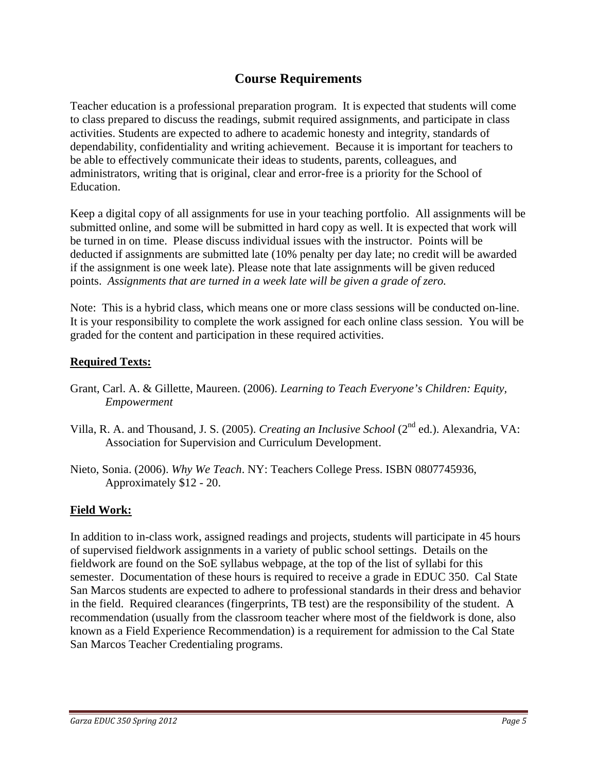# **Course Requirements**

Teacher education is a professional preparation program. It is expected that students will come to class prepared to discuss the readings, submit required assignments, and participate in class activities. Students are expected to adhere to academic honesty and integrity, standards of dependability, confidentiality and writing achievement. Because it is important for teachers to be able to effectively communicate their ideas to students, parents, colleagues, and administrators, writing that is original, clear and error-free is a priority for the School of Education.

Keep a digital copy of all assignments for use in your teaching portfolio. All assignments will be submitted online, and some will be submitted in hard copy as well. It is expected that work will be turned in on time. Please discuss individual issues with the instructor. Points will be deducted if assignments are submitted late (10% penalty per day late; no credit will be awarded if the assignment is one week late). Please note that late assignments will be given reduced points. *Assignments that are turned in a week late will be given a grade of zero.* 

Note: This is a hybrid class, which means one or more class sessions will be conducted on-line. It is your responsibility to complete the work assigned for each online class session. You will be graded for the content and participation in these required activities.

## **Required Texts:**

- Grant, Carl. A. & Gillette, Maureen. (2006). *Learning to Teach Everyone's Children: Equity, Empowerment*
- Villa, R. A. and Thousand, J. S. (2005). *Creating an Inclusive School* (2nd ed.). Alexandria, VA: Association for Supervision and Curriculum Development.
- Nieto, Sonia. (2006). *Why We Teach*. NY: Teachers College Press. ISBN 0807745936, Approximately \$12 - 20.

# **Field Work:**

In addition to in-class work, assigned readings and projects, students will participate in 45 hours of supervised fieldwork assignments in a variety of public school settings. Details on the fieldwork are found on the SoE syllabus webpage, at the top of the list of syllabi for this semester. Documentation of these hours is required to receive a grade in EDUC 350. Cal State San Marcos students are expected to adhere to professional standards in their dress and behavior in the field. Required clearances (fingerprints, TB test) are the responsibility of the student. A recommendation (usually from the classroom teacher where most of the fieldwork is done, also known as a Field Experience Recommendation) is a requirement for admission to the Cal State San Marcos Teacher Credentialing programs.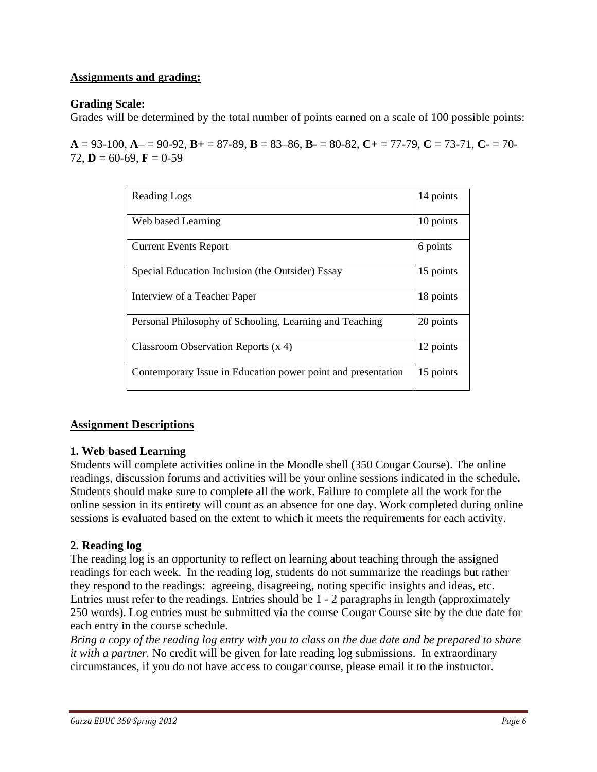### **Assignments and grading:**

#### **Grading Scale:**

Grades will be determined by the total number of points earned on a scale of 100 possible points:

 $A = 93-100$ ,  $A = 90-92$ ,  $B = 87-89$ ,  $B = 83-86$ ,  $B = 80-82$ ,  $C = 77-79$ ,  $C = 73-71$ ,  $C = 70-79$ 72,  $\mathbf{D} = 60 - 69$ ,  $\mathbf{F} = 0 - 59$ 

| Reading Logs                                                 | 14 points |
|--------------------------------------------------------------|-----------|
| Web based Learning                                           | 10 points |
| <b>Current Events Report</b>                                 | 6 points  |
| Special Education Inclusion (the Outsider) Essay             | 15 points |
| Interview of a Teacher Paper                                 | 18 points |
| Personal Philosophy of Schooling, Learning and Teaching      | 20 points |
| Classroom Observation Reports $(x 4)$                        | 12 points |
| Contemporary Issue in Education power point and presentation | 15 points |

### **Assignment Descriptions**

#### **1. Web based Learning**

Students will complete activities online in the Moodle shell (350 Cougar Course). The online readings, discussion forums and activities will be your online sessions indicated in the schedule**.**  Students should make sure to complete all the work. Failure to complete all the work for the online session in its entirety will count as an absence for one day. Work completed during online sessions is evaluated based on the extent to which it meets the requirements for each activity.

### **2. Reading log**

The reading log is an opportunity to reflect on learning about teaching through the assigned readings for each week. In the reading log, students do not summarize the readings but rather they respond to the readings: agreeing, disagreeing, noting specific insights and ideas, etc. Entries must refer to the readings. Entries should be 1 - 2 paragraphs in length (approximately 250 words). Log entries must be submitted via the course Cougar Course site by the due date for each entry in the course schedule.

*Bring a copy of the reading log entry with you to class on the due date and be prepared to share it with a partner.* No credit will be given for late reading log submissions. In extraordinary circumstances, if you do not have access to cougar course, please email it to the instructor.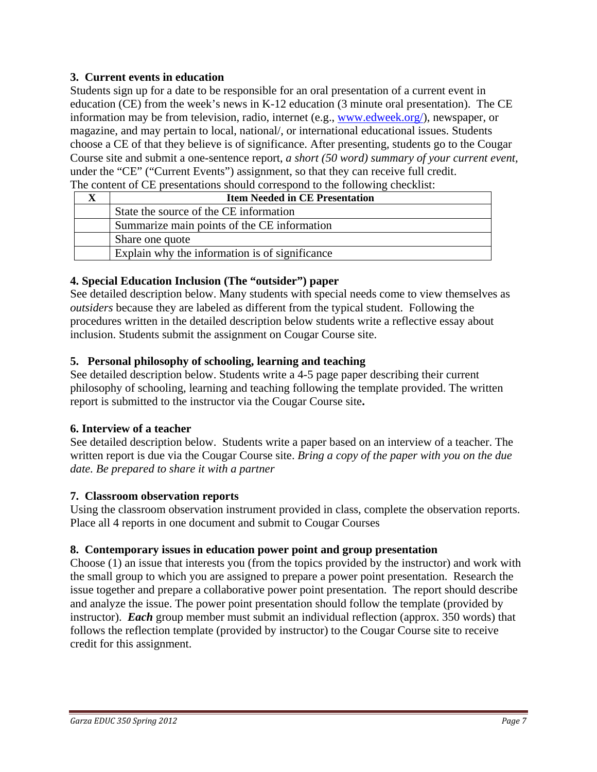## **3. Current events in education**

Students sign up for a date to be responsible for an oral presentation of a current event in education (CE) from the week's news in K-12 education (3 minute oral presentation). The CE information may be from television, radio, internet (e.g., www.edweek.org/), newspaper, or magazine, and may pertain to local, national/, or international educational issues. Students choose a CE of that they believe is of significance. After presenting, students go to the Cougar Course site and submit a one-sentence report, *a short (50 word) summary of your current event,*  under the "CE" ("Current Events") assignment, so that they can receive full credit. The content of CE presentations should correspond to the following checklist:

| The content of the presentations showing corresponds to the following encentrion |                                                |  |  |
|----------------------------------------------------------------------------------|------------------------------------------------|--|--|
|                                                                                  | <b>Item Needed in CE Presentation</b>          |  |  |
|                                                                                  | State the source of the CE information         |  |  |
|                                                                                  | Summarize main points of the CE information    |  |  |
|                                                                                  | Share one quote                                |  |  |
|                                                                                  | Explain why the information is of significance |  |  |

### **4. Special Education Inclusion (The "outsider") paper**

See detailed description below. Many students with special needs come to view themselves as *outsiders* because they are labeled as different from the typical student. Following the procedures written in the detailed description below students write a reflective essay about inclusion. Students submit the assignment on Cougar Course site.

### **5. Personal philosophy of schooling, learning and teaching**

See detailed description below. Students write a 4-5 page paper describing their current philosophy of schooling, learning and teaching following the template provided. The written report is submitted to the instructor via the Cougar Course site**.** 

### **6. Interview of a teacher**

See detailed description below. Students write a paper based on an interview of a teacher. The written report is due via the Cougar Course site. *Bring a copy of the paper with you on the due date. Be prepared to share it with a partner* 

## **7. Classroom observation reports**

Using the classroom observation instrument provided in class, complete the observation reports. Place all 4 reports in one document and submit to Cougar Courses

## **8. Contemporary issues in education power point and group presentation**

Choose (1) an issue that interests you (from the topics provided by the instructor) and work with the small group to which you are assigned to prepare a power point presentation. Research the issue together and prepare a collaborative power point presentation. The report should describe and analyze the issue. The power point presentation should follow the template (provided by instructor). *Each* group member must submit an individual reflection (approx. 350 words) that follows the reflection template (provided by instructor) to the Cougar Course site to receive credit for this assignment.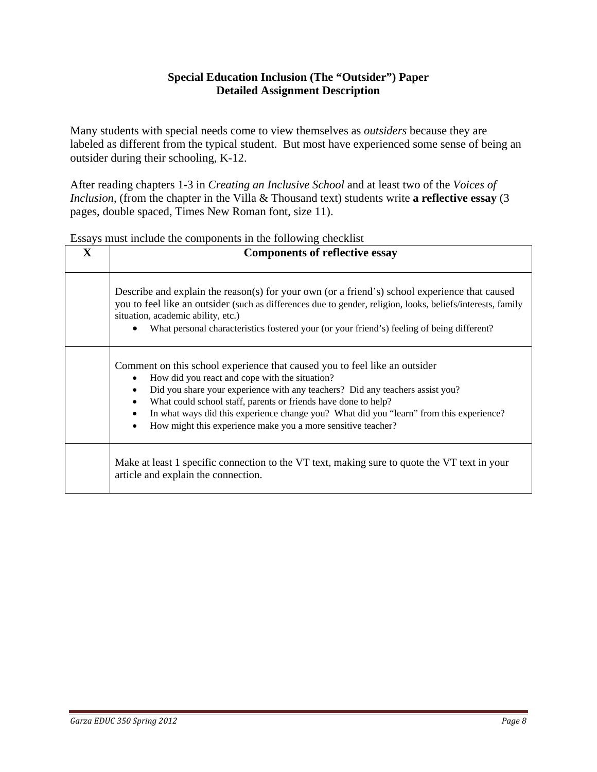### **Special Education Inclusion (The "Outsider") Paper Detailed Assignment Description**

Many students with special needs come to view themselves as *outsiders* because they are labeled as different from the typical student. But most have experienced some sense of being an outsider during their schooling, K-12.

After reading chapters 1-3 in *Creating an Inclusive School* and at least two of the *Voices of Inclusion*, (from the chapter in the Villa & Thousand text) students write **a reflective essay** (3 pages, double spaced, Times New Roman font, size 11).

| $\mathbf{X}$ | <b>Components of reflective essay</b>                                                                                                                                                                                                                                                                                                                                                                                                                                |  |
|--------------|----------------------------------------------------------------------------------------------------------------------------------------------------------------------------------------------------------------------------------------------------------------------------------------------------------------------------------------------------------------------------------------------------------------------------------------------------------------------|--|
|              | Describe and explain the reason(s) for your own (or a friend's) school experience that caused<br>you to feel like an outsider (such as differences due to gender, religion, looks, beliefs/interests, family<br>situation, academic ability, etc.)<br>What personal characteristics fostered your (or your friend's) feeling of being different?                                                                                                                     |  |
|              | Comment on this school experience that caused you to feel like an outsider<br>How did you react and cope with the situation?<br>Did you share your experience with any teachers? Did any teachers assist you?<br>$\bullet$<br>What could school staff, parents or friends have done to help?<br>$\bullet$<br>In what ways did this experience change you? What did you "learn" from this experience?<br>How might this experience make you a more sensitive teacher? |  |
|              | Make at least 1 specific connection to the VT text, making sure to quote the VT text in your<br>article and explain the connection.                                                                                                                                                                                                                                                                                                                                  |  |

Essays must include the components in the following checklist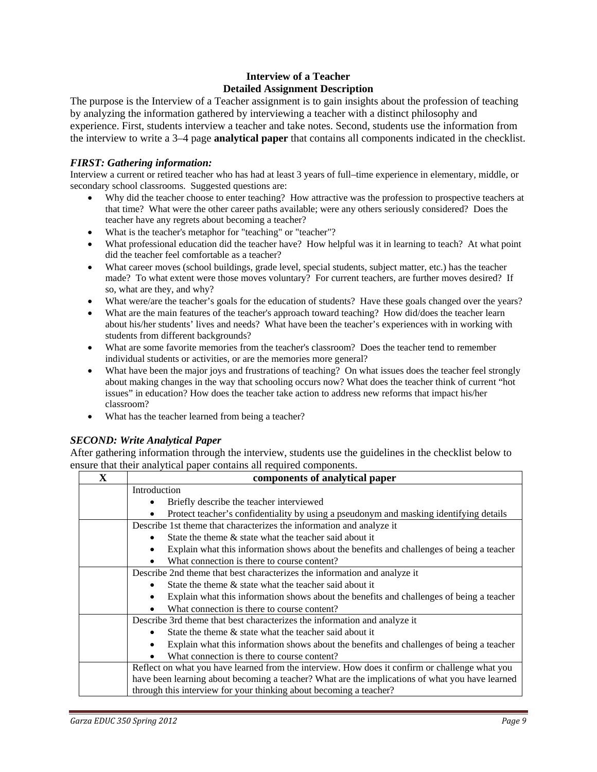#### **Interview of a Teacher Detailed Assignment Description**

The purpose is the Interview of a Teacher assignment is to gain insights about the profession of teaching by analyzing the information gathered by interviewing a teacher with a distinct philosophy and experience. First, students interview a teacher and take notes. Second, students use the information from the interview to write a 3–4 page **analytical paper** that contains all components indicated in the checklist.

#### *FIRST: Gathering information:*

 secondary school classrooms. Suggested questions are: Interview a current or retired teacher who has had at least 3 years of full–time experience in elementary, middle, or

- Why did the teacher choose to enter teaching? How attractive was the profession to prospective teachers at that time? What were the other career paths available; were any others seriously considered? Does the teacher have any regrets about becoming a teacher?
- What is the teacher's metaphor for "teaching" or "teacher"?
- What professional education did the teacher have? How helpful was it in learning to teach? At what point did the teacher feel comfortable as a teacher?
- made? To what extent were those moves voluntary? For current teachers, are further moves desired? If What career moves (school buildings, grade level, special students, subject matter, etc.) has the teacher so, what are they, and why?
- What were/are the teacher's goals for the education of students? Have these goals changed over the years?
- about his/her students' lives and needs? What have been the teacher's experiences with in working with students from different backgrounds? What are the main features of the teacher's approach toward teaching? How did/does the teacher learn
- individual students or activities, or are the memories more general? What are some favorite memories from the teacher's classroom? Does the teacher tend to remember
- What have been the major joys and frustrations of teaching? On what issues does the teacher feel strongly about making changes in the way that schooling occurs now? What does the teacher think of current "hot issues" in education? How does the teacher take action to address new reforms that impact his/her classroom?
- What has the teacher learned from being a teacher?

#### *SECOND: Write Analytical Paper*

After gathering information through the interview, students use the guidelines in the checklist below to ensure that their analytical paper contains all required components.

| X                                                                                      | components of analytical paper                                                                  |  |
|----------------------------------------------------------------------------------------|-------------------------------------------------------------------------------------------------|--|
|                                                                                        | Introduction<br>Briefly describe the teacher interviewed                                        |  |
|                                                                                        |                                                                                                 |  |
| Protect teacher's confidentiality by using a pseudonym and masking identifying details |                                                                                                 |  |
|                                                                                        | Describe 1st theme that characterizes the information and analyze it                            |  |
|                                                                                        | State the theme $\&$ state what the teacher said about it                                       |  |
|                                                                                        | Explain what this information shows about the benefits and challenges of being a teacher        |  |
| What connection is there to course content?                                            |                                                                                                 |  |
|                                                                                        | Describe 2nd theme that best characterizes the information and analyze it                       |  |
|                                                                                        | State the theme $\&$ state what the teacher said about it                                       |  |
|                                                                                        | Explain what this information shows about the benefits and challenges of being a teacher<br>٠   |  |
|                                                                                        | What connection is there to course content?                                                     |  |
|                                                                                        | Describe 3rd theme that best characterizes the information and analyze it                       |  |
|                                                                                        | State the theme & state what the teacher said about it                                          |  |
|                                                                                        | Explain what this information shows about the benefits and challenges of being a teacher        |  |
|                                                                                        | What connection is there to course content?                                                     |  |
|                                                                                        | Reflect on what you have learned from the interview. How does it confirm or challenge what you  |  |
|                                                                                        | have been learning about becoming a teacher? What are the implications of what you have learned |  |
|                                                                                        | through this interview for your thinking about becoming a teacher?                              |  |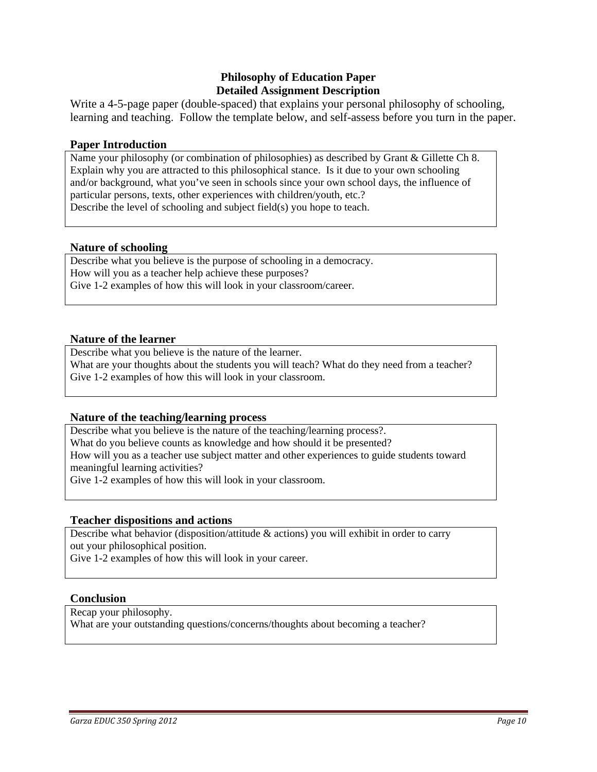### **Philosophy of Education Paper Detailed Assignment Description**

Write a 4-5-page paper (double-spaced) that explains your personal philosophy of schooling, learning and teaching. Follow the template below, and self-assess before you turn in the paper.

#### **Paper Introduction**

Name your philosophy (or combination of philosophies) as described by Grant & Gillette Ch 8. Explain why you are attracted to this philosophical stance. Is it due to your own schooling and/or background, what you've seen in schools since your own school days, the influence of particular persons, texts, other experiences with children/youth, etc.? Describe the level of schooling and subject field(s) you hope to teach.

#### **Nature of schooling**

Describe what you believe is the purpose of schooling in a democracy. How will you as a teacher help achieve these purposes? Give 1-2 examples of how this will look in your classroom/career.

#### **Nature of the learner**

Describe what you believe is the nature of the learner. What are your thoughts about the students you will teach? What do they need from a teacher? Give 1-2 examples of how this will look in your classroom.

#### **Nature of the teaching/learning process**

 meaningful learning activities? Describe what you believe is the nature of the teaching/learning process?. What do you believe counts as knowledge and how should it be presented? How will you as a teacher use subject matter and other experiences to guide students toward Give 1-2 examples of how this will look in your classroom.

#### **Teacher dispositions and actions**

 Describe what behavior (disposition/attitude & actions) you will exhibit in order to carry out your philosophical position.

Give 1-2 examples of how this will look in your career.

#### **Conclusion**

Recap your philosophy.

What are your outstanding questions/concerns/thoughts about becoming a teacher?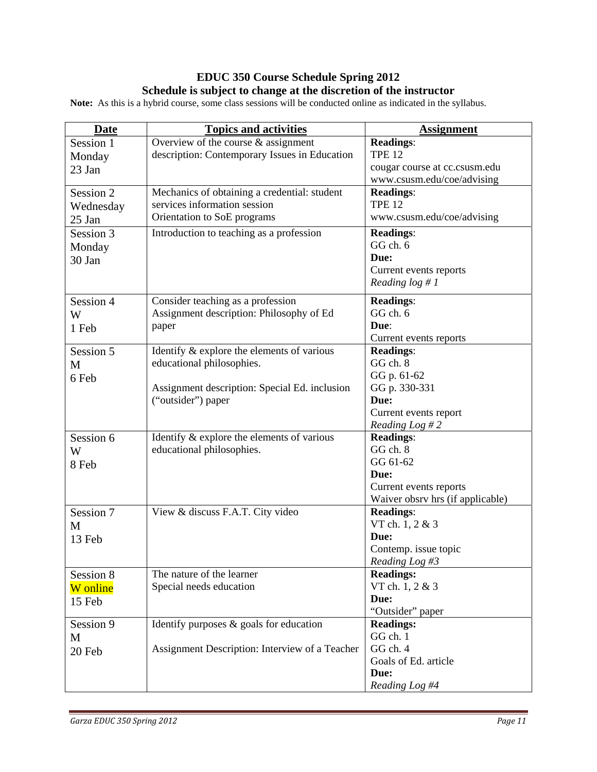## **EDUC 350 Course Schedule Spring 2012 Schedule is subject to change at the discretion of the instructor**

**Note:** As this is a hybrid course, some class sessions will be conducted online as indicated in the syllabus.

| <b>Date</b> | <b>Topics and activities</b>                   | <b>Assignment</b>                |
|-------------|------------------------------------------------|----------------------------------|
| Session 1   | Overview of the course $\&$ assignment         | <b>Readings:</b>                 |
| Monday      | description: Contemporary Issues in Education  | <b>TPE 12</b>                    |
| 23 Jan      |                                                | cougar course at cc.csusm.edu    |
|             |                                                | www.csusm.edu/coe/advising       |
| Session 2   | Mechanics of obtaining a credential: student   | <b>Readings:</b>                 |
| Wednesday   | services information session                   | <b>TPE 12</b>                    |
| 25 Jan      | Orientation to SoE programs                    | www.csusm.edu/coe/advising       |
| Session 3   | Introduction to teaching as a profession       | <b>Readings:</b>                 |
| Monday      |                                                | GG ch. 6                         |
| 30 Jan      |                                                | Due:                             |
|             |                                                | Current events reports           |
|             |                                                | Reading $log #1$                 |
| Session 4   | Consider teaching as a profession              | <b>Readings:</b>                 |
| W           | Assignment description: Philosophy of Ed       | GG ch. 6                         |
| 1 Feb       | paper                                          | Due:                             |
|             |                                                | Current events reports           |
| Session 5   | Identify & explore the elements of various     | <b>Readings:</b>                 |
| M           | educational philosophies.                      | GG ch. 8                         |
| 6 Feb       |                                                | GG p. 61-62                      |
|             | Assignment description: Special Ed. inclusion  | GG p. 330-331                    |
|             | ("outsider") paper                             | Due:                             |
|             |                                                | Current events report            |
|             |                                                | Reading Log # 2                  |
| Session 6   | Identify $\&$ explore the elements of various  | <b>Readings:</b>                 |
| W           | educational philosophies.                      | GG ch. 8                         |
| 8 Feb       |                                                | GG 61-62                         |
|             |                                                | Due:                             |
|             |                                                | Current events reports           |
|             |                                                | Waiver obsrv hrs (if applicable) |
| Session 7   | View & discuss F.A.T. City video               | <b>Readings:</b>                 |
| M           |                                                | VT ch. 1, 2 & 3                  |
| 13 Feb      |                                                | Due:                             |
|             |                                                | Contemp. issue topic             |
|             |                                                | Reading Log #3                   |
| Session 8   | The nature of the learner                      | <b>Readings:</b>                 |
| W online    | Special needs education                        | VT ch. 1, 2 & 3                  |
| 15 Feb      |                                                | Due:                             |
|             |                                                | "Outsider" paper                 |
| Session 9   | Identify purposes $\&$ goals for education     | <b>Readings:</b>                 |
| M           |                                                | GG ch. 1                         |
| 20 Feb      | Assignment Description: Interview of a Teacher | GG ch. 4                         |
|             |                                                | Goals of Ed. article             |
|             |                                                | Due:                             |
|             |                                                | Reading Log #4                   |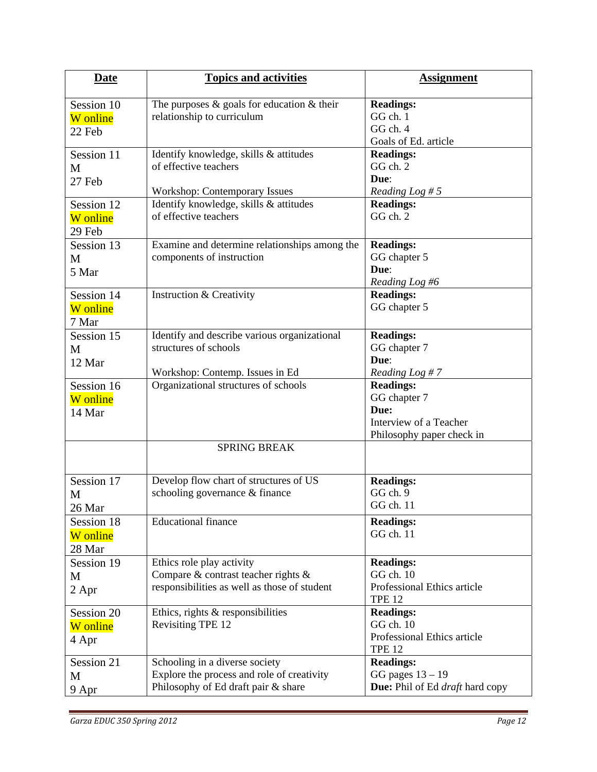| <b>Date</b> | <b>Topics and activities</b>                     | <b>Assignment</b>               |
|-------------|--------------------------------------------------|---------------------------------|
| Session 10  | The purposes $\&$ goals for education $\&$ their | <b>Readings:</b>                |
| W online    | relationship to curriculum                       | GG ch. 1                        |
|             |                                                  | GG ch. 4                        |
| 22 Feb      |                                                  | Goals of Ed. article            |
| Session 11  | Identify knowledge, skills & attitudes           | <b>Readings:</b>                |
| M           | of effective teachers                            | GG ch. 2                        |
| 27 Feb      |                                                  | Due:                            |
|             | Workshop: Contemporary Issues                    | Reading Log # $5$               |
| Session 12  | Identify knowledge, skills & attitudes           | <b>Readings:</b>                |
| W online    | of effective teachers                            | GG ch. 2                        |
| 29 Feb      |                                                  |                                 |
| Session 13  | Examine and determine relationships among the    | <b>Readings:</b>                |
| M           | components of instruction                        | GG chapter 5                    |
| 5 Mar       |                                                  | Due:                            |
|             |                                                  | Reading Log #6                  |
| Session 14  | <b>Instruction &amp; Creativity</b>              | <b>Readings:</b>                |
| W online    |                                                  | GG chapter 5                    |
| 7 Mar       |                                                  |                                 |
| Session 15  | Identify and describe various organizational     | <b>Readings:</b>                |
| M           | structures of schools                            | GG chapter 7                    |
| 12 Mar      |                                                  | Due:                            |
|             | Workshop: Contemp. Issues in Ed                  | Reading Log #7                  |
| Session 16  | Organizational structures of schools             | <b>Readings:</b>                |
| W online    |                                                  | GG chapter 7                    |
| 14 Mar      |                                                  | Due:                            |
|             |                                                  | Interview of a Teacher          |
|             |                                                  | Philosophy paper check in       |
|             | <b>SPRING BREAK</b>                              |                                 |
| Session 17  | Develop flow chart of structures of US           | <b>Readings:</b>                |
| М           | schooling governance & finance                   | GG ch. 9                        |
| 26 Mar      |                                                  | GG ch. 11                       |
| Session 18  | <b>Educational finance</b>                       | <b>Readings:</b>                |
| W online    |                                                  | GG ch. 11                       |
| 28 Mar      |                                                  |                                 |
| Session 19  | Ethics role play activity                        | <b>Readings:</b>                |
|             | Compare & contrast teacher rights &              | GG ch. 10                       |
| M           | responsibilities as well as those of student     | Professional Ethics article     |
| 2 Apr       |                                                  | <b>TPE 12</b>                   |
| Session 20  | Ethics, rights & responsibilities                | <b>Readings:</b>                |
| W online    | Revisiting TPE 12                                | GG ch. 10                       |
|             |                                                  | Professional Ethics article     |
| 4 Apr       |                                                  | <b>TPE 12</b>                   |
| Session 21  | Schooling in a diverse society                   | <b>Readings:</b>                |
| M           | Explore the process and role of creativity       | GG pages $13 - 19$              |
| 9 Apr       | Philosophy of Ed draft pair & share              | Due: Phil of Ed draft hard copy |
|             |                                                  |                                 |